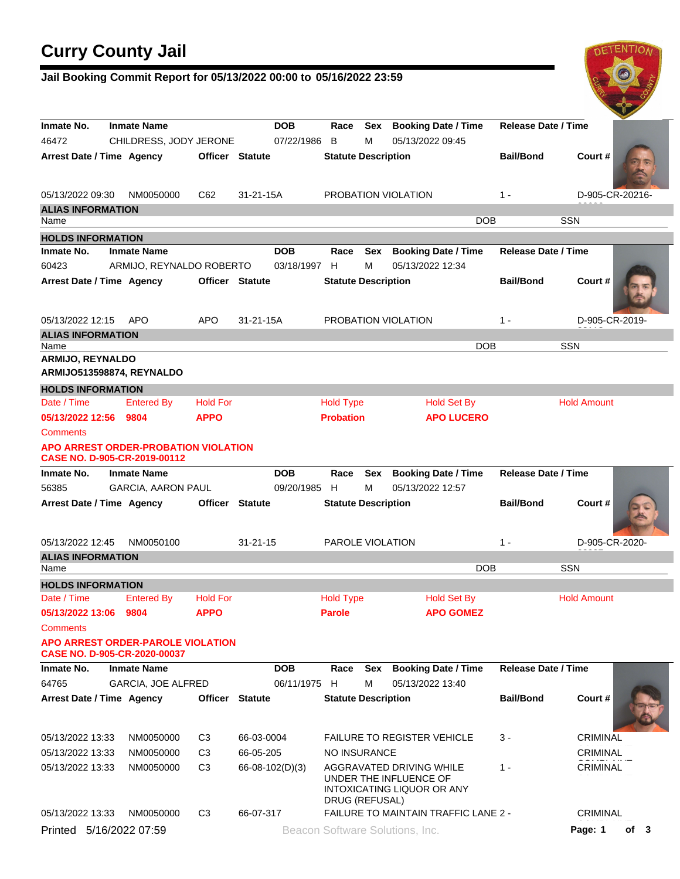# **Curry County Jail**

### **Jail Booking Commit Report for 05/13/2022 00:00 to 05/16/2022 23:59**



| Inmate No.<br>46472       | <b>Inmate Name</b><br>CHILDRESS, JODY JERONE                                  |                        |                                 | Sex Booking Date / Time<br>Race<br>07/22/1986 B<br>м<br>05/13/2022 09:45 |     |                                                      | <b>Release Date / Time</b> |                            |  |  |
|---------------------------|-------------------------------------------------------------------------------|------------------------|---------------------------------|--------------------------------------------------------------------------|-----|------------------------------------------------------|----------------------------|----------------------------|--|--|
| Arrest Date / Time Agency |                                                                               | <b>Officer Statute</b> |                                 | <b>Statute Description</b>                                               |     |                                                      | <b>Bail/Bond</b>           | Court#                     |  |  |
| 05/13/2022 09:30          | NM0050000                                                                     | C62                    | 31-21-15A                       |                                                                          |     | PROBATION VIOLATION                                  | $1 -$                      | D-905-CR-20216-            |  |  |
| <b>ALIAS INFORMATION</b>  |                                                                               |                        |                                 |                                                                          |     |                                                      |                            |                            |  |  |
| Name                      |                                                                               |                        |                                 |                                                                          |     | <b>DOB</b>                                           |                            | <b>SSN</b>                 |  |  |
| <b>HOLDS INFORMATION</b>  |                                                                               |                        |                                 |                                                                          |     |                                                      |                            |                            |  |  |
| Inmate No.                | <b>Inmate Name</b>                                                            |                        | <b>DOB</b>                      | Race                                                                     |     | Sex Booking Date / Time                              | <b>Release Date / Time</b> |                            |  |  |
| 60423                     | ARMIJO, REYNALDO ROBERTO                                                      |                        | 03/18/1997 H                    |                                                                          | м   | 05/13/2022 12:34                                     |                            |                            |  |  |
| Arrest Date / Time Agency |                                                                               | <b>Officer Statute</b> |                                 | <b>Statute Description</b>                                               |     |                                                      | <b>Bail/Bond</b>           | Court#                     |  |  |
| 05/13/2022 12:15          | APO                                                                           | APO                    | $31 - 21 - 15A$                 |                                                                          |     | PROBATION VIOLATION                                  | $1 -$                      | D-905-CR-2019-             |  |  |
| <b>ALIAS INFORMATION</b>  |                                                                               |                        |                                 |                                                                          |     |                                                      |                            |                            |  |  |
| Name                      |                                                                               |                        |                                 |                                                                          |     | <b>DOB</b>                                           |                            | <b>SSN</b>                 |  |  |
| ARMIJO, REYNALDO          | ARMIJO513598874, REYNALDO                                                     |                        |                                 |                                                                          |     |                                                      |                            |                            |  |  |
| <b>HOLDS INFORMATION</b>  |                                                                               |                        |                                 |                                                                          |     |                                                      |                            |                            |  |  |
| Date / Time               | <b>Entered By</b>                                                             | <b>Hold For</b>        |                                 | <b>Hold Type</b>                                                         |     | <b>Hold Set By</b>                                   |                            | <b>Hold Amount</b>         |  |  |
| 05/13/2022 12:56 9804     |                                                                               | <b>APPO</b>            |                                 | <b>Probation</b>                                                         |     | <b>APO LUCERO</b>                                    |                            |                            |  |  |
| <b>Comments</b>           |                                                                               |                        |                                 |                                                                          |     |                                                      |                            |                            |  |  |
|                           | <b>APO ARREST ORDER-PROBATION VIOLATION</b><br>CASE NO. D-905-CR-2019-00112   |                        |                                 |                                                                          |     |                                                      |                            |                            |  |  |
| Inmate No.                | <b>Booking Date / Time</b><br><b>Inmate Name</b><br><b>DOB</b><br>Race<br>Sex |                        |                                 |                                                                          |     |                                                      |                            | <b>Release Date / Time</b> |  |  |
| 56385                     | <b>GARCIA, AARON PAUL</b>                                                     |                        | 09/20/1985 H                    |                                                                          | М   | 05/13/2022 12:57                                     |                            |                            |  |  |
| Arrest Date / Time Agency |                                                                               | <b>Officer Statute</b> |                                 | <b>Statute Description</b>                                               |     |                                                      | <b>Bail/Bond</b>           | Court#                     |  |  |
| 05/13/2022 12:45          | NM0050100                                                                     |                        | $31 - 21 - 15$                  | PAROLE VIOLATION                                                         |     |                                                      | $1 -$                      | D-905-CR-2020-             |  |  |
| <b>ALIAS INFORMATION</b>  |                                                                               |                        |                                 |                                                                          |     |                                                      |                            |                            |  |  |
| Name                      |                                                                               |                        |                                 |                                                                          |     | <b>DOB</b>                                           |                            | <b>SSN</b>                 |  |  |
| <b>HOLDS INFORMATION</b>  |                                                                               |                        |                                 |                                                                          |     |                                                      |                            |                            |  |  |
| Date / Time               | <b>Entered By</b>                                                             | <b>Hold For</b>        |                                 | <b>Hold Type</b>                                                         |     | <b>Hold Set By</b>                                   |                            | <b>Hold Amount</b>         |  |  |
| 05/13/2022 13:06 9804     |                                                                               | <b>APPO</b>            |                                 | <b>Parole</b>                                                            |     | <b>APO GOMEZ</b>                                     |                            |                            |  |  |
| Comments                  | APO ARREST ORDER-PAROLE VIOLATION<br>CASE NO. D-905-CR-2020-00037             |                        |                                 |                                                                          |     |                                                      |                            |                            |  |  |
| Inmate No.                | <b>Inmate Name</b>                                                            |                        | <b>DOB</b>                      | Race                                                                     | Sex | <b>Booking Date / Time</b>                           | <b>Release Date / Time</b> |                            |  |  |
| 64765                     | GARCIA, JOE ALFRED                                                            |                        | 06/11/1975 H                    |                                                                          | м   | 05/13/2022 13:40                                     |                            |                            |  |  |
| Arrest Date / Time Agency |                                                                               | Officer                | <b>Statute</b>                  | <b>Statute Description</b>                                               |     |                                                      | <b>Bail/Bond</b>           | Court#                     |  |  |
| 05/13/2022 13:33          | NM0050000                                                                     | C3                     | 66-03-0004                      |                                                                          |     | <b>FAILURE TO REGISTER VEHICLE</b>                   | 3 -                        | CRIMINAL                   |  |  |
| 05/13/2022 13:33          | NM0050000                                                                     | C3                     | 66-05-205                       | NO INSURANCE                                                             |     |                                                      |                            | CRIMINAL                   |  |  |
| 05/13/2022 13:33          | NM0050000                                                                     | C3                     | 66-08-102(D)(3)                 |                                                                          |     | AGGRAVATED DRIVING WHILE                             | $1 -$                      | CRIMINAL                   |  |  |
|                           |                                                                               |                        |                                 | DRUG (REFUSAL)                                                           |     | UNDER THE INFLUENCE OF<br>INTOXICATING LIQUOR OR ANY |                            |                            |  |  |
| 05/13/2022 13:33          | NM0050000                                                                     | C <sub>3</sub>         | 66-07-317                       |                                                                          |     | FAILURE TO MAINTAIN TRAFFIC LANE 2 -                 |                            | CRIMINAL                   |  |  |
| Printed 5/16/2022 07:59   |                                                                               |                        | Beacon Software Solutions, Inc. |                                                                          |     |                                                      | Page: 1<br>of 3            |                            |  |  |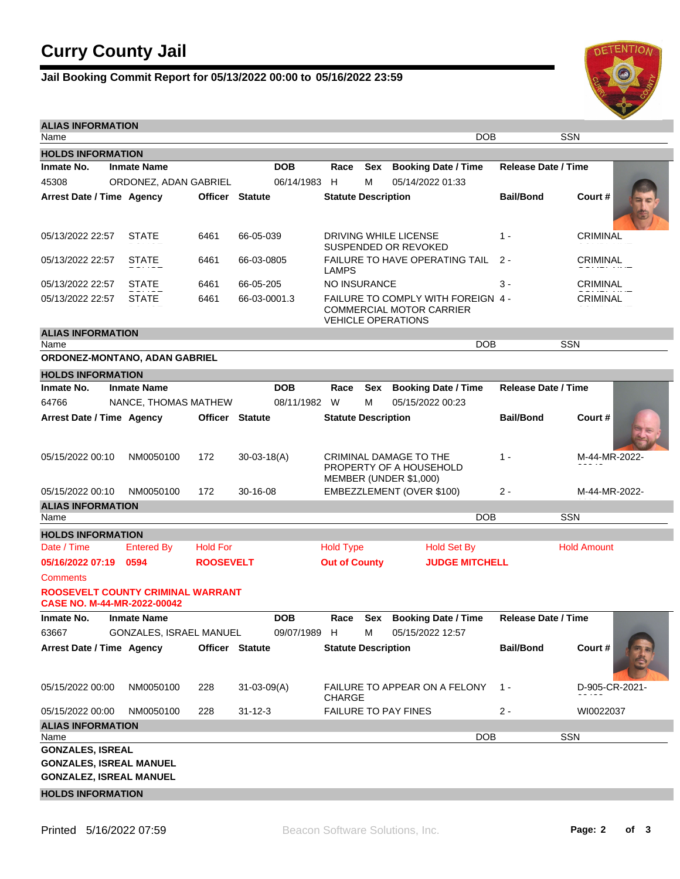## **Curry County Jail**

### **Jail Booking Commit Report for 05/13/2022 00:00 to 05/16/2022 23:59**



| <b>ALIAS INFORMATION</b><br>Name                                        |                         |                        |                   |              |                                                                                                    |     | DOB                                                                         |                            | <b>SSN</b>         |  |
|-------------------------------------------------------------------------|-------------------------|------------------------|-------------------|--------------|----------------------------------------------------------------------------------------------------|-----|-----------------------------------------------------------------------------|----------------------------|--------------------|--|
| <b>HOLDS INFORMATION</b>                                                |                         |                        |                   |              |                                                                                                    |     |                                                                             |                            |                    |  |
| Inmate No.                                                              | <b>Inmate Name</b>      |                        |                   | <b>DOB</b>   | Race                                                                                               | Sex | <b>Booking Date / Time</b>                                                  | <b>Release Date / Time</b> |                    |  |
| 45308                                                                   | ORDONEZ, ADAN GABRIEL   |                        |                   | 06/14/1983 H |                                                                                                    | м   | 05/14/2022 01:33                                                            |                            |                    |  |
| Arrest Date / Time Agency                                               |                         | <b>Officer Statute</b> |                   |              | <b>Statute Description</b>                                                                         |     |                                                                             | <b>Bail/Bond</b>           | Court#             |  |
|                                                                         |                         |                        |                   |              |                                                                                                    |     |                                                                             |                            |                    |  |
| 05/13/2022 22:57                                                        | <b>STATE</b>            | 6461                   | 66-05-039         |              |                                                                                                    |     | DRIVING WHILE LICENSE<br>SUSPENDED OR REVOKED                               | $1 -$                      | <b>CRIMINAL</b>    |  |
| 05/13/2022 22:57                                                        | STATE                   | 6461                   | 66-03-0805        |              | LAMPS                                                                                              |     | <b>FAILURE TO HAVE OPERATING TAIL</b>                                       | 2 -                        | <b>CRIMINAL</b>    |  |
| 05/13/2022 22:57                                                        | <b>STATE</b>            | 6461                   | 66-05-205         |              | NO INSURANCE                                                                                       |     |                                                                             | 3 -                        | CRIMINAL           |  |
| 05/13/2022 22:57                                                        | STATE                   | 6461                   | 66-03-0001.3      |              | FAILURE TO COMPLY WITH FOREIGN 4 -<br><b>COMMERCIAL MOTOR CARRIER</b><br><b>VEHICLE OPERATIONS</b> |     |                                                                             |                            | CRIMINAL           |  |
| <b>ALIAS INFORMATION</b>                                                |                         |                        |                   |              |                                                                                                    |     |                                                                             |                            |                    |  |
| Name                                                                    |                         |                        |                   |              |                                                                                                    |     | <b>DOB</b>                                                                  |                            | <b>SSN</b>         |  |
| ORDONEZ-MONTANO, ADAN GABRIEL                                           |                         |                        |                   |              |                                                                                                    |     |                                                                             |                            |                    |  |
| <b>HOLDS INFORMATION</b>                                                |                         |                        |                   |              |                                                                                                    |     |                                                                             |                            |                    |  |
| Inmate No.                                                              | <b>Inmate Name</b>      |                        |                   | <b>DOB</b>   | Race                                                                                               | Sex | <b>Booking Date / Time</b>                                                  | <b>Release Date / Time</b> |                    |  |
| 64766                                                                   | NANCE, THOMAS MATHEW    |                        |                   | 08/11/1982 W |                                                                                                    | м   | 05/15/2022 00:23                                                            |                            |                    |  |
| Arrest Date / Time Agency                                               |                         | <b>Officer Statute</b> |                   |              | <b>Statute Description</b>                                                                         |     |                                                                             | <b>Bail/Bond</b>           | Court#             |  |
| 05/15/2022 00:10                                                        | NM0050100               | 172                    | $30-03-18(A)$     |              |                                                                                                    |     | CRIMINAL DAMAGE TO THE<br>PROPERTY OF A HOUSEHOLD<br>MEMBER (UNDER \$1,000) | $1 -$                      | M-44-MR-2022-      |  |
| 05/15/2022 00:10                                                        | NM0050100               | 172                    | 30-16-08          |              |                                                                                                    |     | EMBEZZLEMENT (OVER \$100)                                                   | $2 -$                      | M-44-MR-2022-      |  |
| <b>ALIAS INFORMATION</b><br>Name                                        |                         |                        |                   |              |                                                                                                    |     | <b>DOB</b>                                                                  |                            | SSN                |  |
| <b>HOLDS INFORMATION</b>                                                |                         |                        |                   |              |                                                                                                    |     |                                                                             |                            |                    |  |
| Date / Time                                                             | <b>Entered By</b>       | <b>Hold For</b>        |                   |              | <b>Hold Type</b>                                                                                   |     | <b>Hold Set By</b>                                                          |                            | <b>Hold Amount</b> |  |
| 05/16/2022 07:19                                                        | 0594                    | <b>ROOSEVELT</b>       |                   |              | <b>Out of County</b><br><b>JUDGE MITCHELL</b>                                                      |     |                                                                             |                            |                    |  |
| Comments                                                                |                         |                        |                   |              |                                                                                                    |     |                                                                             |                            |                    |  |
| ROOSEVELT COUNTY CRIMINAL WARRANT<br><b>CASE NO. M-44-MR-2022-00042</b> |                         |                        |                   |              |                                                                                                    |     |                                                                             |                            |                    |  |
| Inmate No.                                                              | <b>Inmate Name</b>      |                        |                   | <b>DOB</b>   | Race                                                                                               | Sex | <b>Booking Date / Time</b>                                                  | <b>Release Date / Time</b> |                    |  |
| 63667                                                                   | GONZALES, ISRAEL MANUEL |                        |                   | 09/07/1989 H |                                                                                                    | М   | 05/15/2022 12:57                                                            |                            |                    |  |
| Arrest Date / Time Agency                                               |                         | Officer Statute        |                   |              | <b>Statute Description</b>                                                                         |     |                                                                             | <b>Bail/Bond</b>           | Court#             |  |
| 05/15/2022 00:00                                                        | NM0050100               | 228                    | $31 - 03 - 09(A)$ |              | <b>CHARGE</b>                                                                                      |     | FAILURE TO APPEAR ON A FELONY                                               | $1 -$                      | D-905-CR-2021-     |  |
| 05/15/2022 00:00                                                        | NM0050100               | 228                    | $31 - 12 - 3$     |              |                                                                                                    |     | FAILURE TO PAY FINES                                                        | $2 -$                      | WI0022037          |  |
| <b>ALIAS INFORMATION</b>                                                |                         |                        |                   |              |                                                                                                    |     |                                                                             |                            |                    |  |
| Name<br><b>GONZALES, ISREAL</b>                                         |                         |                        |                   |              |                                                                                                    |     | <b>DOB</b>                                                                  |                            | SSN                |  |
| <b>GONZALES, ISREAL MANUEL</b><br><b>GONZALEZ, ISREAL MANUEL</b>        |                         |                        |                   |              |                                                                                                    |     |                                                                             |                            |                    |  |
| <b>HOLDS INFORMATION</b>                                                |                         |                        |                   |              |                                                                                                    |     |                                                                             |                            |                    |  |